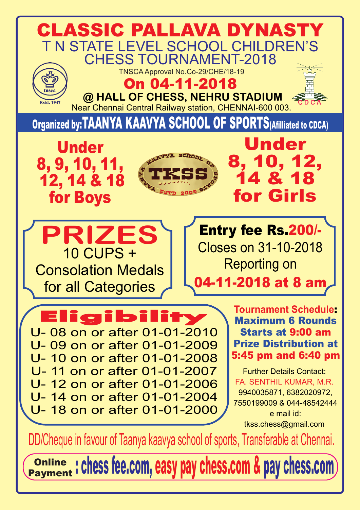